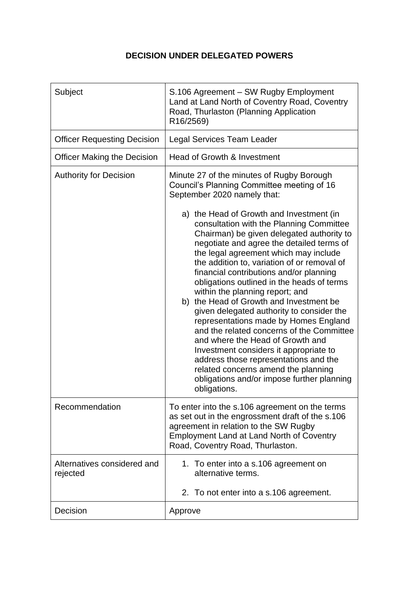## **DECISION UNDER DELEGATED POWERS**

| Subject                                 | S.106 Agreement - SW Rugby Employment<br>Land at Land North of Coventry Road, Coventry<br>Road, Thurlaston (Planning Application<br>R16/2569)                                                                                                                                                                                                                                                                                                                                                                                                                                                                                                                                                                                                                                                                                     |
|-----------------------------------------|-----------------------------------------------------------------------------------------------------------------------------------------------------------------------------------------------------------------------------------------------------------------------------------------------------------------------------------------------------------------------------------------------------------------------------------------------------------------------------------------------------------------------------------------------------------------------------------------------------------------------------------------------------------------------------------------------------------------------------------------------------------------------------------------------------------------------------------|
| <b>Officer Requesting Decision</b>      | Legal Services Team Leader                                                                                                                                                                                                                                                                                                                                                                                                                                                                                                                                                                                                                                                                                                                                                                                                        |
| <b>Officer Making the Decision</b>      | Head of Growth & Investment                                                                                                                                                                                                                                                                                                                                                                                                                                                                                                                                                                                                                                                                                                                                                                                                       |
| <b>Authority for Decision</b>           | Minute 27 of the minutes of Rugby Borough<br>Council's Planning Committee meeting of 16<br>September 2020 namely that:<br>a) the Head of Growth and Investment (in<br>consultation with the Planning Committee<br>Chairman) be given delegated authority to<br>negotiate and agree the detailed terms of<br>the legal agreement which may include<br>the addition to, variation of or removal of<br>financial contributions and/or planning<br>obligations outlined in the heads of terms<br>within the planning report; and<br>b) the Head of Growth and Investment be<br>given delegated authority to consider the<br>representations made by Homes England<br>and the related concerns of the Committee<br>and where the Head of Growth and<br>Investment considers it appropriate to<br>address those representations and the |
|                                         | related concerns amend the planning<br>obligations and/or impose further planning<br>obligations.                                                                                                                                                                                                                                                                                                                                                                                                                                                                                                                                                                                                                                                                                                                                 |
| Recommendation                          | To enter into the s.106 agreement on the terms<br>as set out in the engrossment draft of the s.106<br>agreement in relation to the SW Rugby<br>Employment Land at Land North of Coventry<br>Road, Coventry Road, Thurlaston.                                                                                                                                                                                                                                                                                                                                                                                                                                                                                                                                                                                                      |
| Alternatives considered and<br>rejected | 1. To enter into a s.106 agreement on<br>alternative terms.<br>2. To not enter into a s.106 agreement.                                                                                                                                                                                                                                                                                                                                                                                                                                                                                                                                                                                                                                                                                                                            |
| Decision                                | Approve                                                                                                                                                                                                                                                                                                                                                                                                                                                                                                                                                                                                                                                                                                                                                                                                                           |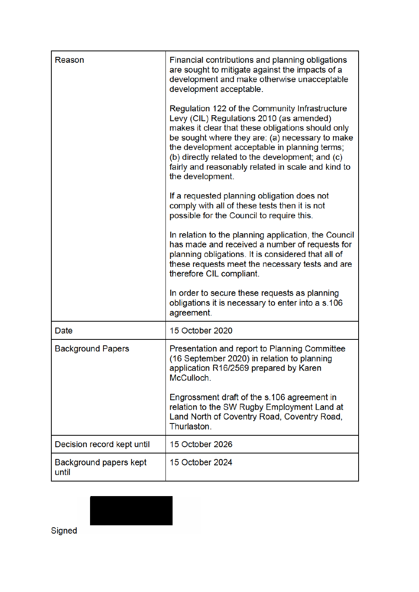| Reason                          | Financial contributions and planning obligations<br>are sought to mitigate against the impacts of a<br>development and make otherwise unacceptable<br>development acceptable.                                                                                                                                                                                                     |
|---------------------------------|-----------------------------------------------------------------------------------------------------------------------------------------------------------------------------------------------------------------------------------------------------------------------------------------------------------------------------------------------------------------------------------|
|                                 | Regulation 122 of the Community Infrastructure<br>Levy (CIL) Regulations 2010 (as amended)<br>makes it clear that these obligations should only<br>be sought where they are: (a) necessary to make<br>the development acceptable in planning terms;<br>(b) directly related to the development; and (c)<br>fairly and reasonably related in scale and kind to<br>the development. |
|                                 | If a requested planning obligation does not<br>comply with all of these tests then it is not<br>possible for the Council to require this.                                                                                                                                                                                                                                         |
|                                 | In relation to the planning application, the Council<br>has made and received a number of requests for<br>planning obligations. It is considered that all of<br>these requests meet the necessary tests and are<br>therefore CIL compliant.                                                                                                                                       |
|                                 | In order to secure these requests as planning<br>obligations it is necessary to enter into a s.106<br>agreement.                                                                                                                                                                                                                                                                  |
| Date                            | 15 October 2020                                                                                                                                                                                                                                                                                                                                                                   |
| <b>Background Papers</b>        | Presentation and report to Planning Committee<br>(16 September 2020) in relation to planning<br>application R16/2569 prepared by Karen<br>McCulloch.                                                                                                                                                                                                                              |
|                                 | Engrossment draft of the s.106 agreement in<br>relation to the SW Rugby Employment Land at<br>Land North of Coventry Road, Coventry Road,<br>Thurlaston.                                                                                                                                                                                                                          |
| Decision record kept until      | 15 October 2026                                                                                                                                                                                                                                                                                                                                                                   |
| Background papers kept<br>until | 15 October 2024                                                                                                                                                                                                                                                                                                                                                                   |



Signed